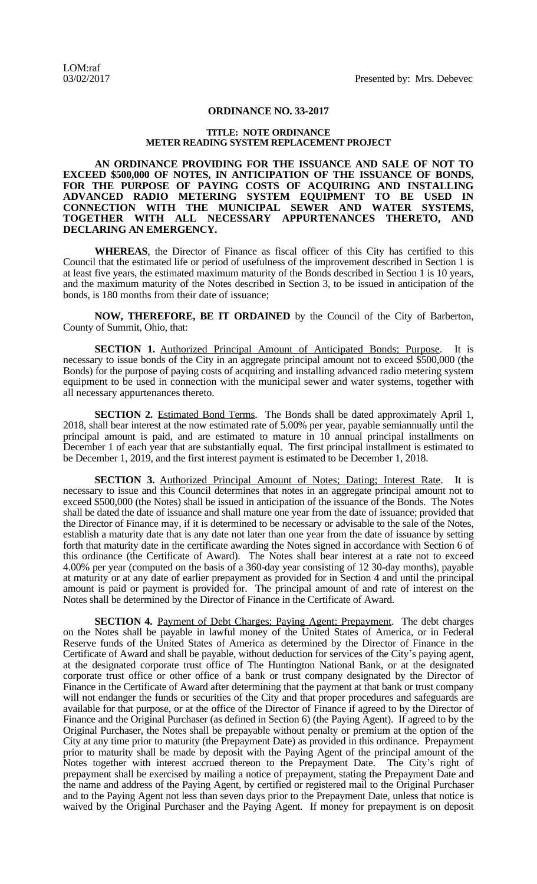## **ORDINANCE NO. 33-2017**

## **TITLE: NOTE ORDINANCE METER READING SYSTEM REPLACEMENT PROJECT**

**AN ORDINANCE PROVIDING FOR THE ISSUANCE AND SALE OF NOT TO EXCEED \$500,000 OF NOTES, IN ANTICIPATION OF THE ISSUANCE OF BONDS, FOR THE PURPOSE OF PAYING COSTS OF ACQUIRING AND INSTALLING ADVANCED RADIO METERING SYSTEM EQUIPMENT TO BE USED IN CONNECTION WITH THE MUNICIPAL SEWER AND WATER SYSTEMS, TOGETHER WITH ALL NECESSARY APPURTENANCES THERETO, AND DECLARING AN EMERGENCY.**

**WHEREAS**, the Director of Finance as fiscal officer of this City has certified to this Council that the estimated life or period of usefulness of the improvement described in Section 1 is at least five years, the estimated maximum maturity of the Bonds described in Section 1 is 10 years, and the maximum maturity of the Notes described in Section 3, to be issued in anticipation of the bonds, is 180 months from their date of issuance;

**NOW, THEREFORE, BE IT ORDAINED** by the Council of the City of Barberton, County of Summit, Ohio, that:

**SECTION 1.** Authorized Principal Amount of Anticipated Bonds; Purpose. It is necessary to issue bonds of the City in an aggregate principal amount not to exceed \$500,000 (the Bonds) for the purpose of paying costs of acquiring and installing advanced radio metering system equipment to be used in connection with the municipal sewer and water systems, together with all necessary appurtenances thereto.

**SECTION 2.** Estimated Bond Terms. The Bonds shall be dated approximately April 1, 2018, shall bear interest at the now estimated rate of 5.00% per year, payable semiannually until the principal amount is paid, and are estimated to mature in 10 annual principal installments on December 1 of each year that are substantially equal. The first principal installment is estimated to be December 1, 2019, and the first interest payment is estimated to be December 1, 2018.

**SECTION 3.** Authorized Principal Amount of Notes; Dating; Interest Rate. It is necessary to issue and this Council determines that notes in an aggregate principal amount not to exceed \$500,000 (the Notes) shall be issued in anticipation of the issuance of the Bonds. The Notes shall be dated the date of issuance and shall mature one year from the date of issuance; provided that the Director of Finance may, if it is determined to be necessary or advisable to the sale of the Notes, establish a maturity date that is any date not later than one year from the date of issuance by setting forth that maturity date in the certificate awarding the Notes signed in accordance with Section 6 of this ordinance (the Certificate of Award). The Notes shall bear interest at a rate not to exceed 4.00% per year (computed on the basis of a 360-day year consisting of 12 30-day months), payable at maturity or at any date of earlier prepayment as provided for in Section 4 and until the principal amount is paid or payment is provided for. The principal amount of and rate of interest on the Notes shall be determined by the Director of Finance in the Certificate of Award.

**SECTION 4.** Payment of Debt Charges; Paying Agent; Prepayment. The debt charges on the Notes shall be payable in lawful money of the United States of America, or in Federal Reserve funds of the United States of America as determined by the Director of Finance in the Certificate of Award and shall be payable, without deduction for services of the City's paying agent, at the designated corporate trust office of The Huntington National Bank, or at the designated corporate trust office or other office of a bank or trust company designated by the Director of Finance in the Certificate of Award after determining that the payment at that bank or trust company will not endanger the funds or securities of the City and that proper procedures and safeguards are available for that purpose, or at the office of the Director of Finance if agreed to by the Director of Finance and the Original Purchaser (as defined in Section 6) (the Paying Agent). If agreed to by the Original Purchaser, the Notes shall be prepayable without penalty or premium at the option of the City at any time prior to maturity (the Prepayment Date) as provided in this ordinance. Prepayment prior to maturity shall be made by deposit with the Paying Agent of the principal amount of the Notes together with interest accrued thereon to the Prepayment Date. The City's right of prepayment shall be exercised by mailing a notice of prepayment, stating the Prepayment Date and the name and address of the Paying Agent, by certified or registered mail to the Original Purchaser and to the Paying Agent not less than seven days prior to the Prepayment Date, unless that notice is waived by the Original Purchaser and the Paying Agent. If money for prepayment is on deposit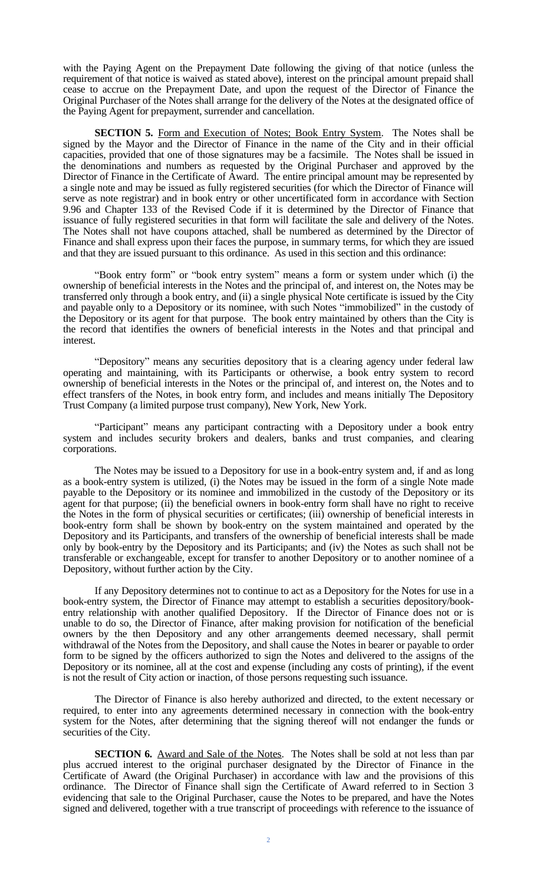with the Paying Agent on the Prepayment Date following the giving of that notice (unless the requirement of that notice is waived as stated above), interest on the principal amount prepaid shall cease to accrue on the Prepayment Date, and upon the request of the Director of Finance the Original Purchaser of the Notes shall arrange for the delivery of the Notes at the designated office of the Paying Agent for prepayment, surrender and cancellation.

**SECTION 5.** Form and Execution of Notes; Book Entry System. The Notes shall be signed by the Mayor and the Director of Finance in the name of the City and in their official capacities, provided that one of those signatures may be a facsimile. The Notes shall be issued in the denominations and numbers as requested by the Original Purchaser and approved by the Director of Finance in the Certificate of Award. The entire principal amount may be represented by a single note and may be issued as fully registered securities (for which the Director of Finance will serve as note registrar) and in book entry or other uncertificated form in accordance with Section 9.96 and Chapter 133 of the Revised Code if it is determined by the Director of Finance that issuance of fully registered securities in that form will facilitate the sale and delivery of the Notes. The Notes shall not have coupons attached, shall be numbered as determined by the Director of Finance and shall express upon their faces the purpose, in summary terms, for which they are issued and that they are issued pursuant to this ordinance. As used in this section and this ordinance:

"Book entry form" or "book entry system" means a form or system under which (i) the ownership of beneficial interests in the Notes and the principal of, and interest on, the Notes may be transferred only through a book entry, and (ii) a single physical Note certificate is issued by the City and payable only to a Depository or its nominee, with such Notes "immobilized" in the custody of the Depository or its agent for that purpose. The book entry maintained by others than the City is the record that identifies the owners of beneficial interests in the Notes and that principal and interest.

"Depository" means any securities depository that is a clearing agency under federal law operating and maintaining, with its Participants or otherwise, a book entry system to record ownership of beneficial interests in the Notes or the principal of, and interest on, the Notes and to effect transfers of the Notes, in book entry form, and includes and means initially The Depository Trust Company (a limited purpose trust company), New York, New York.

"Participant" means any participant contracting with a Depository under a book entry system and includes security brokers and dealers, banks and trust companies, and clearing corporations.

The Notes may be issued to a Depository for use in a book-entry system and, if and as long as a book-entry system is utilized, (i) the Notes may be issued in the form of a single Note made payable to the Depository or its nominee and immobilized in the custody of the Depository or its agent for that purpose; (ii) the beneficial owners in book-entry form shall have no right to receive the Notes in the form of physical securities or certificates; (iii) ownership of beneficial interests in book-entry form shall be shown by book-entry on the system maintained and operated by the Depository and its Participants, and transfers of the ownership of beneficial interests shall be made only by book-entry by the Depository and its Participants; and (iv) the Notes as such shall not be transferable or exchangeable, except for transfer to another Depository or to another nominee of a Depository, without further action by the City.

If any Depository determines not to continue to act as a Depository for the Notes for use in a book-entry system, the Director of Finance may attempt to establish a securities depository/bookentry relationship with another qualified Depository. If the Director of Finance does not or is unable to do so, the Director of Finance, after making provision for notification of the beneficial owners by the then Depository and any other arrangements deemed necessary, shall permit withdrawal of the Notes from the Depository, and shall cause the Notes in bearer or payable to order form to be signed by the officers authorized to sign the Notes and delivered to the assigns of the Depository or its nominee, all at the cost and expense (including any costs of printing), if the event is not the result of City action or inaction, of those persons requesting such issuance.

The Director of Finance is also hereby authorized and directed, to the extent necessary or required, to enter into any agreements determined necessary in connection with the book-entry system for the Notes, after determining that the signing thereof will not endanger the funds or securities of the City.

**SECTION 6.** Award and Sale of the Notes. The Notes shall be sold at not less than par plus accrued interest to the original purchaser designated by the Director of Finance in the Certificate of Award (the Original Purchaser) in accordance with law and the provisions of this ordinance. The Director of Finance shall sign the Certificate of Award referred to in Section 3 evidencing that sale to the Original Purchaser, cause the Notes to be prepared, and have the Notes signed and delivered, together with a true transcript of proceedings with reference to the issuance of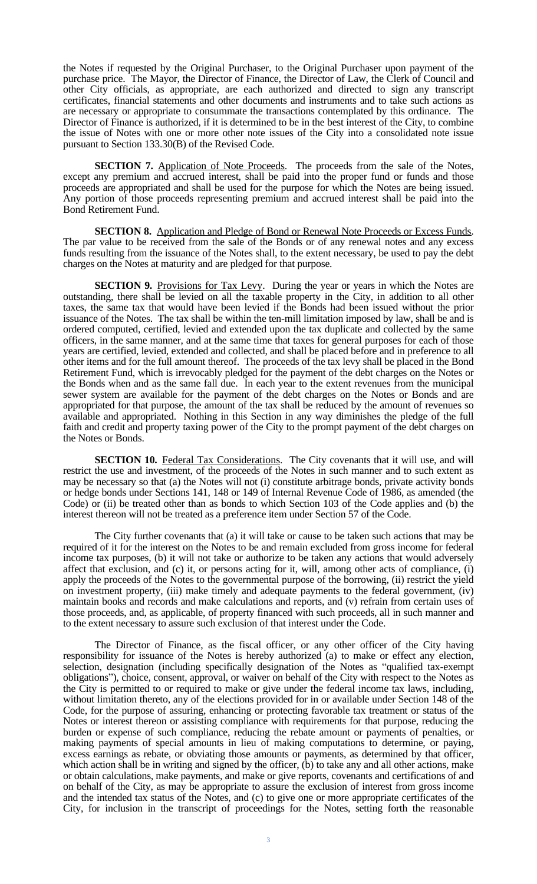the Notes if requested by the Original Purchaser, to the Original Purchaser upon payment of the purchase price. The Mayor, the Director of Finance, the Director of Law, the Clerk of Council and other City officials, as appropriate, are each authorized and directed to sign any transcript certificates, financial statements and other documents and instruments and to take such actions as are necessary or appropriate to consummate the transactions contemplated by this ordinance. The Director of Finance is authorized, if it is determined to be in the best interest of the City, to combine the issue of Notes with one or more other note issues of the City into a consolidated note issue pursuant to Section 133.30(B) of the Revised Code.

**SECTION 7.** Application of Note Proceeds. The proceeds from the sale of the Notes, except any premium and accrued interest, shall be paid into the proper fund or funds and those proceeds are appropriated and shall be used for the purpose for which the Notes are being issued. Any portion of those proceeds representing premium and accrued interest shall be paid into the Bond Retirement Fund.

**SECTION 8.** Application and Pledge of Bond or Renewal Note Proceeds or Excess Funds. The par value to be received from the sale of the Bonds or of any renewal notes and any excess funds resulting from the issuance of the Notes shall, to the extent necessary, be used to pay the debt charges on the Notes at maturity and are pledged for that purpose.

**SECTION 9.** Provisions for Tax Levy. During the year or years in which the Notes are outstanding, there shall be levied on all the taxable property in the City, in addition to all other taxes, the same tax that would have been levied if the Bonds had been issued without the prior issuance of the Notes. The tax shall be within the ten-mill limitation imposed by law, shall be and is ordered computed, certified, levied and extended upon the tax duplicate and collected by the same officers, in the same manner, and at the same time that taxes for general purposes for each of those years are certified, levied, extended and collected, and shall be placed before and in preference to all other items and for the full amount thereof. The proceeds of the tax levy shall be placed in the Bond Retirement Fund, which is irrevocably pledged for the payment of the debt charges on the Notes or the Bonds when and as the same fall due. In each year to the extent revenues from the municipal sewer system are available for the payment of the debt charges on the Notes or Bonds and are appropriated for that purpose, the amount of the tax shall be reduced by the amount of revenues so available and appropriated. Nothing in this Section in any way diminishes the pledge of the full faith and credit and property taxing power of the City to the prompt payment of the debt charges on the Notes or Bonds.

**SECTION 10.** Federal Tax Considerations. The City covenants that it will use, and will restrict the use and investment, of the proceeds of the Notes in such manner and to such extent as may be necessary so that (a) the Notes will not (i) constitute arbitrage bonds, private activity bonds or hedge bonds under Sections 141, 148 or 149 of Internal Revenue Code of 1986, as amended (the Code) or (ii) be treated other than as bonds to which Section 103 of the Code applies and (b) the interest thereon will not be treated as a preference item under Section 57 of the Code.

The City further covenants that (a) it will take or cause to be taken such actions that may be required of it for the interest on the Notes to be and remain excluded from gross income for federal income tax purposes, (b) it will not take or authorize to be taken any actions that would adversely affect that exclusion, and (c) it, or persons acting for it, will, among other acts of compliance, (i) apply the proceeds of the Notes to the governmental purpose of the borrowing, (ii) restrict the yield on investment property, (iii) make timely and adequate payments to the federal government, (iv) maintain books and records and make calculations and reports, and (v) refrain from certain uses of those proceeds, and, as applicable, of property financed with such proceeds, all in such manner and to the extent necessary to assure such exclusion of that interest under the Code.

The Director of Finance, as the fiscal officer, or any other officer of the City having responsibility for issuance of the Notes is hereby authorized (a) to make or effect any election, selection, designation (including specifically designation of the Notes as "qualified tax-exempt obligations"), choice, consent, approval, or waiver on behalf of the City with respect to the Notes as the City is permitted to or required to make or give under the federal income tax laws, including, without limitation thereto, any of the elections provided for in or available under Section 148 of the Code, for the purpose of assuring, enhancing or protecting favorable tax treatment or status of the Notes or interest thereon or assisting compliance with requirements for that purpose, reducing the burden or expense of such compliance, reducing the rebate amount or payments of penalties, or making payments of special amounts in lieu of making computations to determine, or paying, excess earnings as rebate, or obviating those amounts or payments, as determined by that officer, which action shall be in writing and signed by the officer, (b) to take any and all other actions, make or obtain calculations, make payments, and make or give reports, covenants and certifications of and on behalf of the City, as may be appropriate to assure the exclusion of interest from gross income and the intended tax status of the Notes, and (c) to give one or more appropriate certificates of the City, for inclusion in the transcript of proceedings for the Notes, setting forth the reasonable